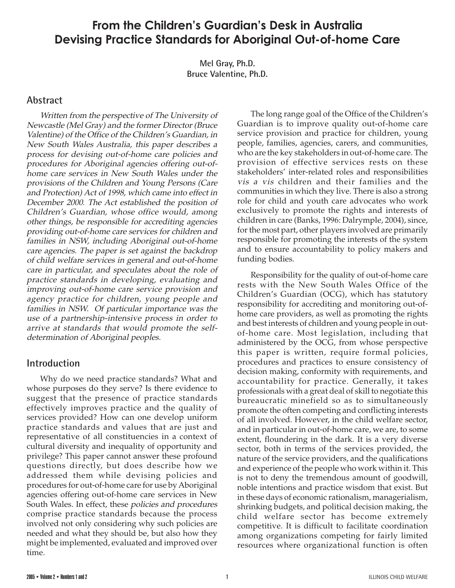# **From the Children's Guardian's Desk in Australia Devising Practice Standards for Aboriginal Out-of-home Care**

**Mel Gray, Ph.D. Bruce Valentine, Ph.D.**

#### **Abstract**

Written from the perspective of The University of Newcastle (Mel Gray) and the former Director (Bruce Valentine) of the Office of the Children's Guardian, in New South Wales Australia, this paper describes a process for devising out-of-home care policies and procedures for Aboriginal agencies offering out-ofhome care services in New South Wales under the provisions of the Children and Young Persons (Care and Protection) Act of 1998, which came into effect in December 2000. The Act established the position of Children's Guardian, whose office would, among other things, be responsible for accrediting agencies providing out-of-home care services for children and families in NSW, including Aboriginal out-of-home care agencies. The paper is set against the backdrop of child welfare services in general and out-of-home care in particular, and speculates about the role of practice standards in developing, evaluating and improving out-of-home care service provision and agency practice for children, young people and families in NSW. Of particular importance was the use of a partnership-intensive process in order to arrive at standards that would promote the selfdetermination of Aboriginal peoples.

#### **Introduction**

Why do we need practice standards? What and whose purposes do they serve? Is there evidence to suggest that the presence of practice standards effectively improves practice and the quality of services provided? How can one develop uniform practice standards and values that are just and representative of all constituencies in a context of cultural diversity and inequality of opportunity and privilege? This paper cannot answer these profound questions directly, but does describe how we addressed them while devising policies and procedures for out-of-home care for use by Aboriginal agencies offering out-of-home care services in New South Wales. In effect, these policies and procedures comprise practice standards because the process involved not only considering why such policies are needed and what they should be, but also how they might be implemented, evaluated and improved over time.

The long range goal of the Office of the Children's Guardian is to improve quality out-of-home care service provision and practice for children, young people, families, agencies, carers, and communities, who are the key stakeholders in out-of-home care. The provision of effective services rests on these stakeholders' inter-related roles and responsibilities vis a vis children and their families and the communities in which they live. There is also a strong role for child and youth care advocates who work exclusively to promote the rights and interests of children in care (Banks, 1996: Dalrymple, 2004), since, for the most part, other players involved are primarily responsible for promoting the interests of the system and to ensure accountability to policy makers and funding bodies.

Responsibility for the quality of out-of-home care rests with the New South Wales Office of the Children's Guardian (OCG), which has statutory responsibility for accrediting and monitoring out-ofhome care providers, as well as promoting the rights and best interests of children and young people in outof-home care. Most legislation, including that administered by the OCG, from whose perspective this paper is written, require formal policies, procedures and practices to ensure consistency of decision making, conformity with requirements, and accountability for practice. Generally, it takes professionals with a great deal of skill to negotiate this bureaucratic minefield so as to simultaneously promote the often competing and conflicting interests of all involved. However, in the child welfare sector, and in particular in out-of-home care, we are, to some extent, floundering in the dark. It is a very diverse sector, both in terms of the services provided, the nature of the service providers, and the qualifications and experience of the people who work within it. This is not to deny the tremendous amount of goodwill, noble intentions and practice wisdom that exist. But in these days of economic rationalism, managerialism, shrinking budgets, and political decision making, the child welfare sector has become extremely competitive. It is difficult to facilitate coordination among organizations competing for fairly limited resources where organizational function is often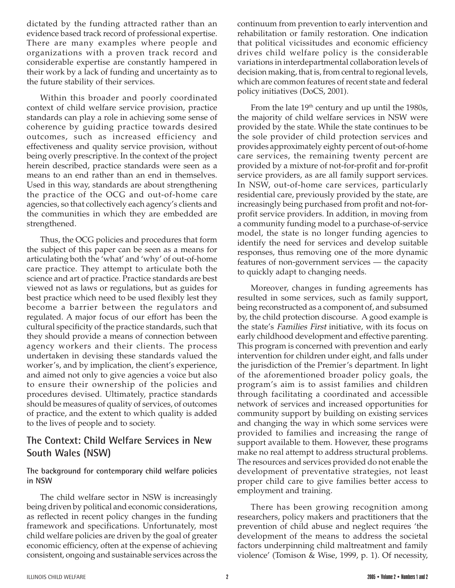dictated by the funding attracted rather than an evidence based track record of professional expertise. There are many examples where people and organizations with a proven track record and considerable expertise are constantly hampered in their work by a lack of funding and uncertainty as to the future stability of their services.

Within this broader and poorly coordinated context of child welfare service provision, practice standards can play a role in achieving some sense of coherence by guiding practice towards desired outcomes, such as increased efficiency and effectiveness and quality service provision, without being overly prescriptive. In the context of the project herein described, practice standards were seen as a means to an end rather than an end in themselves. Used in this way, standards are about strengthening the practice of the OCG and out-of-home care agencies, so that collectively each agency's clients and the communities in which they are embedded are strengthened.

Thus, the OCG policies and procedures that form the subject of this paper can be seen as a means for articulating both the 'what' and 'why' of out-of-home care practice. They attempt to articulate both the science and art of practice. Practice standards are best viewed not as laws or regulations, but as guides for best practice which need to be used flexibly lest they become a barrier between the regulators and regulated. A major focus of our effort has been the cultural specificity of the practice standards, such that they should provide a means of connection between agency workers and their clients. The process undertaken in devising these standards valued the worker's, and by implication, the client's experience, and aimed not only to give agencies a voice but also to ensure their ownership of the policies and procedures devised. Ultimately, practice standards should be measures of quality of services, of outcomes of practice, and the extent to which quality is added to the lives of people and to society.

# **The Context: Child Welfare Services in New South Wales (NSW)**

#### **The background for contemporary child welfare policies in NSW**

The child welfare sector in NSW is increasingly being driven by political and economic considerations, as reflected in recent policy changes in the funding framework and specifications. Unfortunately, most child welfare policies are driven by the goal of greater economic efficiency, often at the expense of achieving consistent, ongoing and sustainable services across the

continuum from prevention to early intervention and rehabilitation or family restoration. One indication that political vicissitudes and economic efficiency drives child welfare policy is the considerable variations in interdepartmental collaboration levels of decision making, that is, from central to regional levels, which are common features of recent state and federal policy initiatives (DoCS, 2001).

From the late 19<sup>th</sup> century and up until the 1980s, the majority of child welfare services in NSW were provided by the state. While the state continues to be the sole provider of child protection services and provides approximately eighty percent of out-of-home care services, the remaining twenty percent are provided by a mixture of not-for-profit and for-profit service providers, as are all family support services. In NSW, out-of-home care services, particularly residential care, previously provided by the state, are increasingly being purchased from profit and not-forprofit service providers. In addition, in moving from a community funding model to a purchase-of-service model, the state is no longer funding agencies to identify the need for services and develop suitable responses, thus removing one of the more dynamic features of non-government services — the capacity to quickly adapt to changing needs.

Moreover, changes in funding agreements has resulted in some services, such as family support, being reconstructed as a component of, and subsumed by, the child protection discourse. A good example is the state's Families First initiative, with its focus on early childhood development and effective parenting. This program is concerned with prevention and early intervention for children under eight, and falls under the jurisdiction of the Premier's department. In light of the aforementioned broader policy goals, the program's aim is to assist families and children through facilitating a coordinated and accessible network of services and increased opportunities for community support by building on existing services and changing the way in which some services were provided to families and increasing the range of support available to them. However, these programs make no real attempt to address structural problems. The resources and services provided do not enable the development of preventative strategies, not least proper child care to give families better access to employment and training.

There has been growing recognition among researchers, policy makers and practitioners that the prevention of child abuse and neglect requires 'the development of the means to address the societal factors underpinning child maltreatment and family violence' (Tomison & Wise, 1999, p. 1). Of necessity,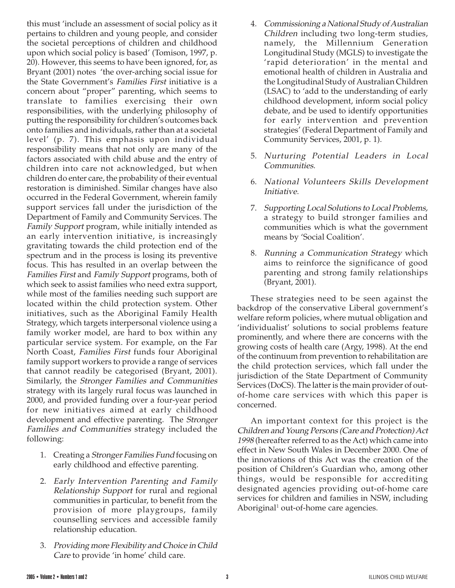this must 'include an assessment of social policy as it pertains to children and young people, and consider the societal perceptions of children and childhood upon which social policy is based' (Tomison, 1997, p. 20). However, this seems to have been ignored, for, as Bryant (2001) notes 'the over-arching social issue for the State Government's Families First initiative is a concern about "proper" parenting, which seems to translate to families exercising their own responsibilities, with the underlying philosophy of putting the responsibility for children's outcomes back onto families and individuals, rather than at a societal level' (p. 7). This emphasis upon individual responsibility means that not only are many of the factors associated with child abuse and the entry of children into care not acknowledged, but when children do enter care, the probability of their eventual restoration is diminished. Similar changes have also occurred in the Federal Government, wherein family support services fall under the jurisdiction of the Department of Family and Community Services. The Family Support program, while initially intended as an early intervention initiative, is increasingly gravitating towards the child protection end of the spectrum and in the process is losing its preventive focus. This has resulted in an overlap between the Families First and Family Support programs, both of which seek to assist families who need extra support, while most of the families needing such support are located within the child protection system. Other initiatives, such as the Aboriginal Family Health Strategy, which targets interpersonal violence using a family worker model, are hard to box within any particular service system. For example, on the Far North Coast, Families First funds four Aboriginal family support workers to provide a range of services that cannot readily be categorised (Bryant, 2001). Similarly, the Stronger Families and Communities strategy with its largely rural focus was launched in 2000, and provided funding over a four-year period for new initiatives aimed at early childhood development and effective parenting. The Stronger Families and Communities strategy included the following:

- 1. Creating a Stronger Families Fund focusing on early childhood and effective parenting.
- 2. Early Intervention Parenting and Family Relationship Support for rural and regional communities in particular, to benefit from the provision of more playgroups, family counselling services and accessible family relationship education.
- 3. Providing more Flexibility and Choice in Child Care to provide 'in home' child care.
- 4. Commissioning a National Study of Australian Children including two long-term studies, namely, the Millennium Generation Longitudinal Study (MGLS) to investigate the 'rapid deterioration' in the mental and emotional health of children in Australia and the Longitudinal Study of Australian Children (LSAC) to 'add to the understanding of early childhood development, inform social policy debate, and be used to identify opportunities for early intervention and prevention strategies' (Federal Department of Family and Community Services, 2001, p. 1).
- 5. Nurturing Potential Leaders in Local Communities.
- 6. National Volunteers Skills Development Initiative.
- 7. Supporting Local Solutions to Local Problems, a strategy to build stronger families and communities which is what the government means by 'Social Coalition'.
- 8. Running a Communication Strategy which aims to reinforce the significance of good parenting and strong family relationships (Bryant, 2001).

These strategies need to be seen against the backdrop of the conservative Liberal government's welfare reform policies, where mutual obligation and 'individualist' solutions to social problems feature prominently, and where there are concerns with the growing costs of health care (Argy, 1998). At the end of the continuum from prevention to rehabilitation are the child protection services, which fall under the jurisdiction of the State Department of Community Services (DoCS). The latter is the main provider of outof-home care services with which this paper is concerned.

An important context for this project is the Children and Young Persons (Care and Protection) Act 1998 (hereafter referred to as the Act) which came into effect in New South Wales in December 2000. One of the innovations of this Act was the creation of the position of Children's Guardian who, among other things, would be responsible for accrediting designated agencies providing out-of-home care services for children and families in NSW, including Aboriginal<sup>1</sup> out-of-home care agencies.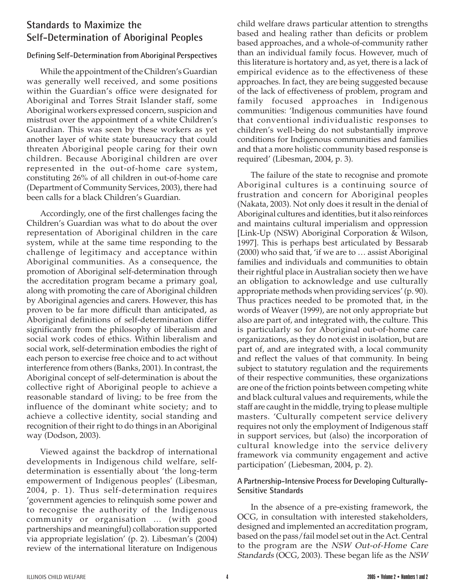# **Standards to Maximize the Self-Determination of Aboriginal Peoples**

#### **Defining Self-Determination from Aboriginal Perspectives**

While the appointment of the Children's Guardian was generally well received, and some positions within the Guardian's office were designated for Aboriginal and Torres Strait Islander staff, some Aboriginal workers expressed concern, suspicion and mistrust over the appointment of a white Children's Guardian. This was seen by these workers as yet another layer of white state bureaucracy that could threaten Aboriginal people caring for their own children. Because Aboriginal children are over represented in the out-of-home care system, constituting 26% of all children in out-of-home care (Department of Community Services, 2003), there had been calls for a black Children's Guardian.

Accordingly, one of the first challenges facing the Children's Guardian was what to do about the over representation of Aboriginal children in the care system, while at the same time responding to the challenge of legitimacy and acceptance within Aboriginal communities. As a consequence, the promotion of Aboriginal self-determination through the accreditation program became a primary goal, along with promoting the care of Aboriginal children by Aboriginal agencies and carers. However, this has proven to be far more difficult than anticipated, as Aboriginal definitions of self-determination differ significantly from the philosophy of liberalism and social work codes of ethics. Within liberalism and social work, self-determination embodies the right of each person to exercise free choice and to act without interference from others (Banks, 2001). In contrast, the Aboriginal concept of self-determination is about the collective right of Aboriginal people to achieve a reasonable standard of living; to be free from the influence of the dominant white society; and to achieve a collective identity, social standing and recognition of their right to do things in an Aboriginal way (Dodson, 2003).

Viewed against the backdrop of international developments in Indigenous child welfare, selfdetermination is essentially about 'the long-term empowerment of Indigenous peoples' (Libesman, 2004, p. 1). Thus self-determination requires 'government agencies to relinquish some power and to recognise the authority of the Indigenous community or organisation … (with good partnerships and meaningful) collaboration supported via appropriate legislation' (p. 2). Libesman's (2004) review of the international literature on Indigenous

child welfare draws particular attention to strengths based and healing rather than deficits or problem based approaches, and a whole-of-community rather than an individual family focus. However, much of this literature is hortatory and, as yet, there is a lack of empirical evidence as to the effectiveness of these approaches. In fact, they are being suggested because of the lack of effectiveness of problem, program and family focused approaches in Indigenous communities: 'Indigenous communities have found that conventional individualistic responses to children's well-being do not substantially improve conditions for Indigenous communities and families and that a more holistic community based response is required' (Libesman, 2004, p. 3).

The failure of the state to recognise and promote Aboriginal cultures is a continuing source of frustration and concern for Aboriginal peoples (Nakata, 2003). Not only does it result in the denial of Aboriginal cultures and identities, but it also reinforces and maintains cultural imperialism and oppression [Link-Up (NSW) Aboriginal Corporation & Wilson, 1997]. This is perhaps best articulated by Bessarab (2000) who said that, 'if we are to … assist Aboriginal families and individuals and communities to obtain their rightful place in Australian society then we have an obligation to acknowledge and use culturally appropriate methods when providing services' (p. 90). Thus practices needed to be promoted that, in the words of Weaver (1999), are not only appropriate but also are part of, and integrated with, the culture. This is particularly so for Aboriginal out-of-home care organizations, as they do not exist in isolation, but are part of, and are integrated with, a local community and reflect the values of that community. In being subject to statutory regulation and the requirements of their respective communities, these organizations are one of the friction points between competing white and black cultural values and requirements, while the staff are caught in the middle, trying to please multiple masters. 'Culturally competent service delivery requires not only the employment of Indigenous staff in support services, but (also) the incorporation of cultural knowledge into the service delivery framework via community engagement and active participation' (Liebesman, 2004, p. 2).

#### **A Partnership-Intensive Process for Developing Culturally-Sensitive Standards**

In the absence of a pre-existing framework, the OCG, in consultation with interested stakeholders, designed and implemented an accreditation program, based on the pass/fail model set out in the Act. Central to the program are the NSW Out-of-Home Care Standards (OCG, 2003). These began life as the NSW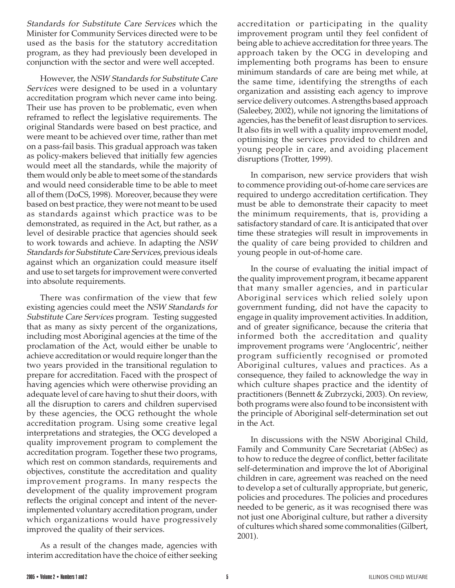Standards for Substitute Care Services which the Minister for Community Services directed were to be used as the basis for the statutory accreditation program, as they had previously been developed in conjunction with the sector and were well accepted.

However, the NSW Standards for Substitute Care Services were designed to be used in a voluntary accreditation program which never came into being. Their use has proven to be problematic, even when reframed to reflect the legislative requirements. The original Standards were based on best practice, and were meant to be achieved over time, rather than met on a pass-fail basis. This gradual approach was taken as policy-makers believed that initially few agencies would meet all the standards, while the majority of them would only be able to meet some of the standards and would need considerable time to be able to meet all of them (DoCS, 1998). Moreover, because they were based on best practice, they were not meant to be used as standards against which practice was to be demonstrated, as required in the Act, but rather, as a level of desirable practice that agencies should seek to work towards and achieve. In adapting the NSW Standards for Substitute Care Services, previous ideals against which an organization could measure itself and use to set targets for improvement were converted into absolute requirements.

There was confirmation of the view that few existing agencies could meet the NSW Standards for Substitute Care Services program. Testing suggested that as many as sixty percent of the organizations, including most Aboriginal agencies at the time of the proclamation of the Act, would either be unable to achieve accreditation or would require longer than the two years provided in the transitional regulation to prepare for accreditation. Faced with the prospect of having agencies which were otherwise providing an adequate level of care having to shut their doors, with all the disruption to carers and children supervised by these agencies, the OCG rethought the whole accreditation program. Using some creative legal interpretations and strategies, the OCG developed a quality improvement program to complement the accreditation program. Together these two programs, which rest on common standards, requirements and objectives, constitute the accreditation and quality improvement programs. In many respects the development of the quality improvement program reflects the original concept and intent of the neverimplemented voluntary accreditation program, under which organizations would have progressively improved the quality of their services.

As a result of the changes made, agencies with interim accreditation have the choice of either seeking

accreditation or participating in the quality improvement program until they feel confident of being able to achieve accreditation for three years. The approach taken by the OCG in developing and implementing both programs has been to ensure minimum standards of care are being met while, at the same time, identifying the strengths of each organization and assisting each agency to improve service delivery outcomes. A strengths based approach (Saleebey, 2002), while not ignoring the limitations of agencies, has the benefit of least disruption to services. It also fits in well with a quality improvement model, optimising the services provided to children and young people in care, and avoiding placement disruptions (Trotter, 1999).

In comparison, new service providers that wish to commence providing out-of-home care services are required to undergo accreditation certification. They must be able to demonstrate their capacity to meet the minimum requirements, that is, providing a satisfactory standard of care. It is anticipated that over time these strategies will result in improvements in the quality of care being provided to children and young people in out-of-home care.

In the course of evaluating the initial impact of the quality improvement program, it became apparent that many smaller agencies, and in particular Aboriginal services which relied solely upon government funding, did not have the capacity to engage in quality improvement activities. In addition, and of greater significance, because the criteria that informed both the accreditation and quality improvement programs were 'Anglocentric', neither program sufficiently recognised or promoted Aboriginal cultures, values and practices. As a consequence, they failed to acknowledge the way in which culture shapes practice and the identity of practitioners (Bennett & Zubrzycki, 2003). On review, both programs were also found to be inconsistent with the principle of Aboriginal self-determination set out in the Act.

In discussions with the NSW Aboriginal Child, Family and Community Care Secretariat (AbSec) as to how to reduce the degree of conflict, better facilitate self-determination and improve the lot of Aboriginal children in care, agreement was reached on the need to develop a set of culturally appropriate, but generic, policies and procedures. The policies and procedures needed to be generic, as it was recognised there was not just one Aboriginal culture, but rather a diversity of cultures which shared some commonalities (Gilbert, 2001).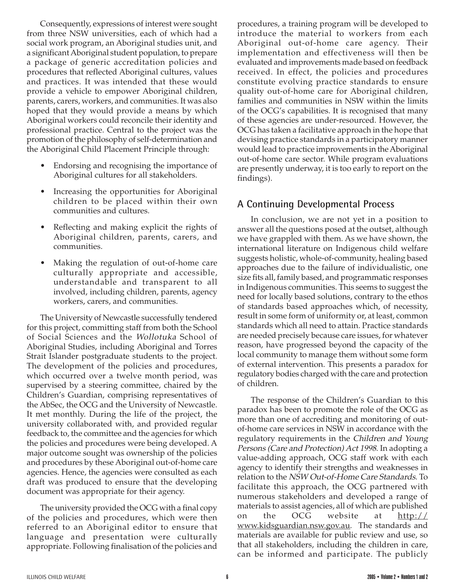Consequently, expressions of interest were sought from three NSW universities, each of which had a social work program, an Aboriginal studies unit, and a significant Aboriginal student population, to prepare a package of generic accreditation policies and procedures that reflected Aboriginal cultures, values and practices. It was intended that these would provide a vehicle to empower Aboriginal children, parents, carers, workers, and communities. It was also hoped that they would provide a means by which Aboriginal workers could reconcile their identity and professional practice. Central to the project was the promotion of the philosophy of self-determination and the Aboriginal Child Placement Principle through:

- Endorsing and recognising the importance of Aboriginal cultures for all stakeholders.
- Increasing the opportunities for Aboriginal children to be placed within their own communities and cultures.
- Reflecting and making explicit the rights of Aboriginal children, parents, carers, and communities.
- Making the regulation of out-of-home care culturally appropriate and accessible, understandable and transparent to all involved, including children, parents, agency workers, carers, and communities.

The University of Newcastle successfully tendered for this project, committing staff from both the School of Social Sciences and the Wollotuka School of Aboriginal Studies, including Aboriginal and Torres Strait Islander postgraduate students to the project. The development of the policies and procedures, which occurred over a twelve month period, was supervised by a steering committee, chaired by the Children's Guardian, comprising representatives of the AbSec, the OCG and the University of Newcastle. It met monthly. During the life of the project, the university collaborated with, and provided regular feedback to, the committee and the agencies for which the policies and procedures were being developed. A major outcome sought was ownership of the policies and procedures by these Aboriginal out-of-home care agencies. Hence, the agencies were consulted as each draft was produced to ensure that the developing document was appropriate for their agency.

The university provided the OCG with a final copy of the policies and procedures, which were then referred to an Aboriginal editor to ensure that language and presentation were culturally appropriate. Following finalisation of the policies and

procedures, a training program will be developed to introduce the material to workers from each Aboriginal out-of-home care agency. Their implementation and effectiveness will then be evaluated and improvements made based on feedback received. In effect, the policies and procedures constitute evolving practice standards to ensure quality out-of-home care for Aboriginal children, families and communities in NSW within the limits of the OCG's capabilities. It is recognised that many of these agencies are under-resourced. However, the OCG has taken a facilitative approach in the hope that devising practice standards in a participatory manner would lead to practice improvements in the Aboriginal out-of-home care sector. While program evaluations are presently underway, it is too early to report on the findings).

### **A Continuing Developmental Process**

In conclusion, we are not yet in a position to answer all the questions posed at the outset, although we have grappled with them. As we have shown, the international literature on Indigenous child welfare suggests holistic, whole-of-community, healing based approaches due to the failure of individualistic, one size fits all, family based, and programmatic responses in Indigenous communities. This seems to suggest the need for locally based solutions, contrary to the ethos of standards based approaches which, of necessity, result in some form of uniformity or, at least, common standards which all need to attain. Practice standards are needed precisely because care issues, for whatever reason, have progressed beyond the capacity of the local community to manage them without some form of external intervention. This presents a paradox for regulatory bodies charged with the care and protection of children.

The response of the Children's Guardian to this paradox has been to promote the role of the OCG as more than one of accrediting and monitoring of outof-home care services in NSW in accordance with the regulatory requirements in the Children and Young Persons (Care and Protection) Act 1998. In adopting a value-adding approach, OCG staff work with each agency to identify their strengths and weaknesses in relation to the NSW Out-of-Home Care Standards. To facilitate this approach, the OCG partnered with numerous stakeholders and developed a range of materials to assist agencies, all of which are published on the OCG website at <u>http://</u> www.kidsguardian.nsw.gov.au. The standards and materials are available for public review and use, so that all stakeholders, including the children in care, can be informed and participate. The publicly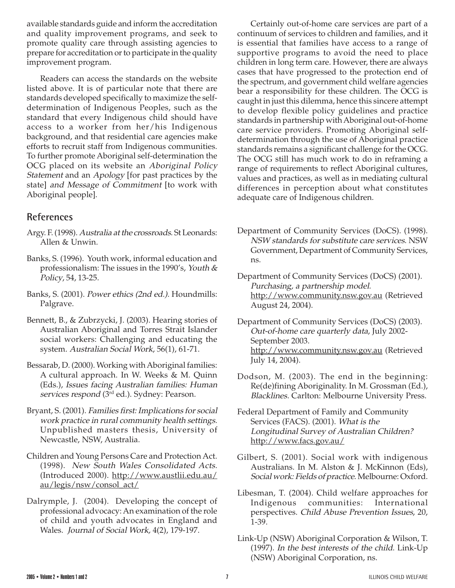available standards guide and inform the accreditation and quality improvement programs, and seek to promote quality care through assisting agencies to prepare for accreditation or to participate in the quality improvement program.

Readers can access the standards on the website listed above. It is of particular note that there are standards developed specifically to maximize the selfdetermination of Indigenous Peoples, such as the standard that every Indigenous child should have access to a worker from her/his Indigenous background, and that residential care agencies make efforts to recruit staff from Indigenous communities. To further promote Aboriginal self-determination the OCG placed on its website an Aboriginal Policy Statement and an Apology [for past practices by the state] and Message of Commitment [to work with Aboriginal people].

## **References**

- Argy. F. (1998). Australia at the crossroads. St Leonards: Allen & Unwin.
- Banks, S. (1996). Youth work, informal education and professionalism: The issues in the 1990's, Youth & Policy, 54, 13-25.
- Banks, S. (2001). Power ethics (2nd ed.). Houndmills: Palgrave.
- Bennett, B., & Zubrzycki, J. (2003). Hearing stories of Australian Aboriginal and Torres Strait Islander social workers: Challenging and educating the system. Australian Social Work, 56(1), 61-71.
- Bessarab, D. (2000). Working with Aboriginal families: A cultural approach. In W. Weeks & M. Quinn (Eds.), Issues facing Australian families: Human services respond (3<sup>rd</sup> ed.). Sydney: Pearson.
- Bryant, S. (2001). Families first: Implications for social work practice in rural community health settings. Unpublished masters thesis, University of Newcastle, NSW, Australia.
- Children and Young Persons Care and Protection Act. (1998). New South Wales Consolidated Acts. (Introduced 2000). http://www.austlii.edu.au/ au/legis/nsw/consol\_act/
- Dalrymple, J. (2004). Developing the concept of professional advocacy: An examination of the role of child and youth advocates in England and Wales. Journal of Social Work, 4(2), 179-197.

Certainly out-of-home care services are part of a continuum of services to children and families, and it is essential that families have access to a range of supportive programs to avoid the need to place children in long term care. However, there are always cases that have progressed to the protection end of the spectrum, and government child welfare agencies bear a responsibility for these children. The OCG is caught in just this dilemma, hence this sincere attempt to develop flexible policy guidelines and practice standards in partnership with Aboriginal out-of-home care service providers. Promoting Aboriginal selfdetermination through the use of Aboriginal practice standards remains a significant challenge for the OCG. The OCG still has much work to do in reframing a range of requirements to reflect Aboriginal cultures, values and practices, as well as in mediating cultural differences in perception about what constitutes adequate care of Indigenous children.

- Department of Community Services (DoCS). (1998). NSW standards for substitute care services. NSW Government, Department of Community Services, ns.
- Department of Community Services (DoCS) (2001). Purchasing, a partnership model. http://www.community.nsw.gov.au (Retrieved August 24, 2004).
- Department of Community Services (DoCS) (2003). Out-of-home care quarterly data, July 2002- September 2003. http://www.community.nsw.gov.au (Retrieved July 14, 2004).
- Dodson, M. (2003). The end in the beginning: Re(de)fining Aboriginality. In M. Grossman (Ed.), Blacklines. Carlton: Melbourne University Press.
- Federal Department of Family and Community Services (FACS). (2001). What is the Longitudinal Survey of Australian Children? http://www.facs.gov.au/
- Gilbert, S. (2001). Social work with indigenous Australians. In M. Alston & J. McKinnon (Eds), Social work: Fields of practice. Melbourne: Oxford.
- Libesman, T. (2004). Child welfare approaches for Indigenous communities: International perspectives. Child Abuse Prevention Issues, 20, 1-39.
- Link-Up (NSW) Aboriginal Corporation & Wilson, T. (1997). In the best interests of the child. Link-Up (NSW) Aboriginal Corporation, ns.